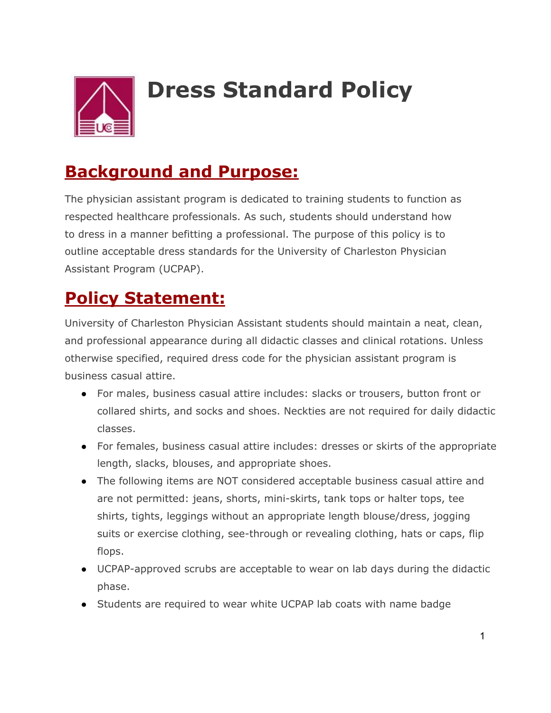

## **Dress Standard Policy**

## **Background and Purpose:**

The physician assistant program is dedicated to training students to function as respected healthcare professionals. As such, students should understand how to dress in a manner befitting a professional. The purpose of this policy is to outline acceptable dress standards for the University of Charleston Physician Assistant Program (UCPAP).

## **Policy Statement:**

University of Charleston Physician Assistant students should maintain a neat, clean, and professional appearance during all didactic classes and clinical rotations. Unless otherwise specified, required dress code for the physician assistant program is business casual attire.

- For males, business casual attire includes: slacks or trousers, button front or collared shirts, and socks and shoes. Neckties are not required for daily didactic classes.
- For females, business casual attire includes: dresses or skirts of the appropriate length, slacks, blouses, and appropriate shoes.
- The following items are NOT considered acceptable business casual attire and are not permitted: jeans, shorts, mini-skirts, tank tops or halter tops, tee shirts, tights, leggings without an appropriate length blouse/dress, jogging suits or exercise clothing, see-through or revealing clothing, hats or caps, flip flops.
- UCPAP-approved scrubs are acceptable to wear on lab days during the didactic phase.
- Students are required to wear white UCPAP lab coats with name badge